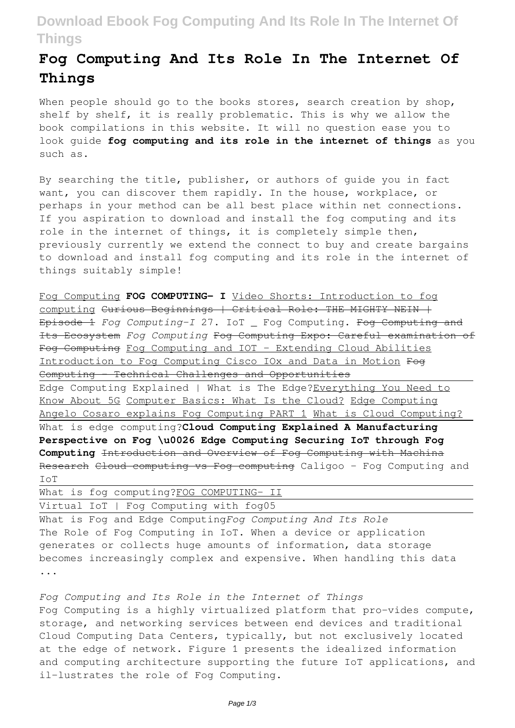# **Download Ebook Fog Computing And Its Role In The Internet Of Things**

# **Fog Computing And Its Role In The Internet Of Things**

When people should go to the books stores, search creation by shop, shelf by shelf, it is really problematic. This is why we allow the book compilations in this website. It will no question ease you to look guide **fog computing and its role in the internet of things** as you such as.

By searching the title, publisher, or authors of guide you in fact want, you can discover them rapidly. In the house, workplace, or perhaps in your method can be all best place within net connections. If you aspiration to download and install the fog computing and its role in the internet of things, it is completely simple then, previously currently we extend the connect to buy and create bargains to download and install fog computing and its role in the internet of things suitably simple!

Fog Computing **FOG COMPUTING- I** Video Shorts: Introduction to fog computing Curious Beginnings | Critical Role: THE MIGHTY NEIN | Episode 1 *Fog Computing-I* 27. IoT \_ Fog Computing. Fog Computing and Its Ecosystem *Fog Computing* Fog Computing Expo: Careful examination of Fog Computing Fog Computing and IOT - Extending Cloud Abilities Introduction to Fog Computing Cisco IOx and Data in Motion Fog Computing - Technical Challenges and Opportunities Edge Computing Explained | What is The Edge?Everything You Need to Know About 5G Computer Basics: What Is the Cloud? Edge Computing Angelo Cosaro explains Fog Computing PART 1 What is Cloud Computing? What is edge computing?**Cloud Computing Explained A Manufacturing Perspective on Fog \u0026 Edge Computing Securing IoT through Fog Computing** Introduction and Overview of Fog Computing with Machina Research Cloud computing vs Fog computing Caligoo - Fog Computing and IoT

|  | What is fog computing?FOG COMPUTING- II |  |  |  |  |  |  |  |
|--|-----------------------------------------|--|--|--|--|--|--|--|
|  | Virtual IoT   Fog Computing with fog05  |  |  |  |  |  |  |  |
|  |                                         |  |  |  |  |  |  |  |

What is Fog and Edge Computing*Fog Computing And Its Role* The Role of Fog Computing in IoT. When a device or application generates or collects huge amounts of information, data storage becomes increasingly complex and expensive. When handling this data ...

*Fog Computing and Its Role in the Internet of Things* Fog Computing is a highly virtualized platform that pro-vides compute, storage, and networking services between end devices and traditional Cloud Computing Data Centers, typically, but not exclusively located at the edge of network. Figure 1 presents the idealized information and computing architecture supporting the future IoT applications, and il-lustrates the role of Fog Computing.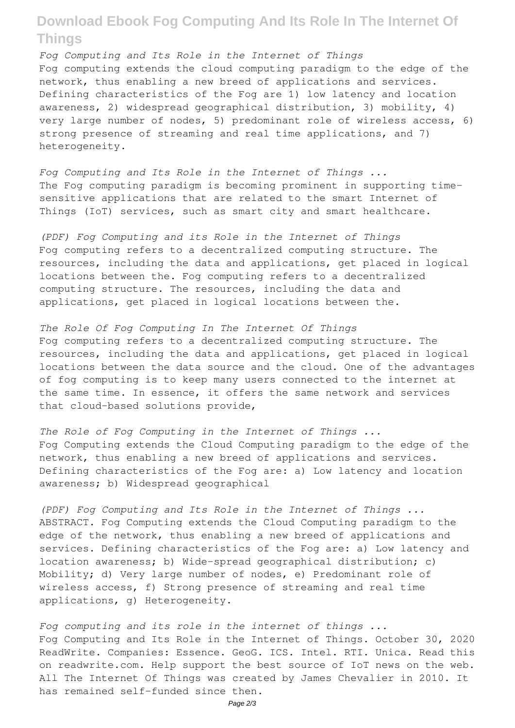## **Download Ebook Fog Computing And Its Role In The Internet Of Things**

*Fog Computing and Its Role in the Internet of Things* Fog computing extends the cloud computing paradigm to the edge of the network, thus enabling a new breed of applications and services. Defining characteristics of the Fog are 1) low latency and location awareness, 2) widespread geographical distribution, 3) mobility, 4) very large number of nodes, 5) predominant role of wireless access, 6) strong presence of streaming and real time applications, and 7) heterogeneity.

*Fog Computing and Its Role in the Internet of Things ...* The Fog computing paradigm is becoming prominent in supporting timesensitive applications that are related to the smart Internet of Things (IoT) services, such as smart city and smart healthcare.

*(PDF) Fog Computing and its Role in the Internet of Things* Fog computing refers to a decentralized computing structure. The resources, including the data and applications, get placed in logical locations between the. Fog computing refers to a decentralized computing structure. The resources, including the data and applications, get placed in logical locations between the.

*The Role Of Fog Computing In The Internet Of Things* Fog computing refers to a decentralized computing structure. The resources, including the data and applications, get placed in logical locations between the data source and the cloud. One of the advantages of fog computing is to keep many users connected to the internet at the same time. In essence, it offers the same network and services that cloud-based solutions provide,

*The Role of Fog Computing in the Internet of Things ...* Fog Computing extends the Cloud Computing paradigm to the edge of the network, thus enabling a new breed of applications and services. Defining characteristics of the Fog are: a) Low latency and location awareness; b) Widespread geographical

*(PDF) Fog Computing and Its Role in the Internet of Things ...* ABSTRACT. Fog Computing extends the Cloud Computing paradigm to the edge of the network, thus enabling a new breed of applications and services. Defining characteristics of the Fog are: a) Low latency and location awareness; b) Wide-spread geographical distribution; c) Mobility; d) Very large number of nodes, e) Predominant role of wireless access, f) Strong presence of streaming and real time applications, g) Heterogeneity.

*Fog computing and its role in the internet of things ...* Fog Computing and Its Role in the Internet of Things. October 30, 2020 ReadWrite. Companies: Essence. GeoG. ICS. Intel. RTI. Unica. Read this on readwrite.com. Help support the best source of IoT news on the web. All The Internet Of Things was created by James Chevalier in 2010. It has remained self-funded since then.